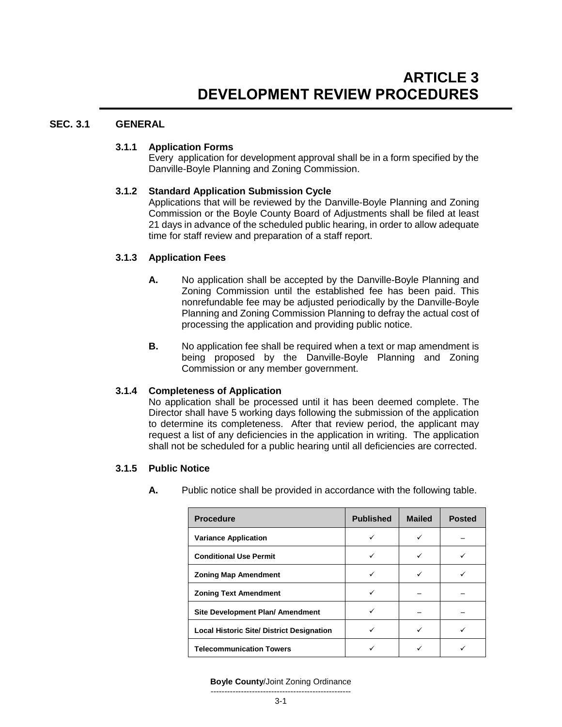# **SEC. 3.1 GENERAL**

# **3.1.1 Application Forms**

Every application for development approval shall be in a form specified by the Danville-Boyle Planning and Zoning Commission.

# **3.1.2 Standard Application Submission Cycle**

Applications that will be reviewed by the Danville-Boyle Planning and Zoning Commission or the Boyle County Board of Adjustments shall be filed at least 21 days in advance of the scheduled public hearing, in order to allow adequate time for staff review and preparation of a staff report.

# **3.1.3 Application Fees**

- **A.** No application shall be accepted by the Danville-Boyle Planning and Zoning Commission until the established fee has been paid. This nonrefundable fee may be adjusted periodically by the Danville-Boyle Planning and Zoning Commission Planning to defray the actual cost of processing the application and providing public notice.
- **B.** No application fee shall be required when a text or map amendment is being proposed by the Danville-Boyle Planning and Zoning Commission or any member government.

# **3.1.4 Completeness of Application**

No application shall be processed until it has been deemed complete. The Director shall have 5 working days following the submission of the application to determine its completeness. After that review period, the applicant may request a list of any deficiencies in the application in writing. The application shall not be scheduled for a public hearing until all deficiencies are corrected.

# **3.1.5 Public Notice**

**A.** Public notice shall be provided in accordance with the following table.

| <b>Procedure</b>                                 | <b>Published</b> | <b>Mailed</b> | <b>Posted</b> |
|--------------------------------------------------|------------------|---------------|---------------|
| <b>Variance Application</b>                      |                  |               |               |
| <b>Conditional Use Permit</b>                    |                  |               |               |
| <b>Zoning Map Amendment</b>                      |                  |               |               |
| <b>Zoning Text Amendment</b>                     | ✓                |               |               |
| Site Development Plan/ Amendment                 |                  |               |               |
| <b>Local Historic Site/ District Designation</b> |                  |               |               |
| <b>Telecommunication Towers</b>                  |                  |               |               |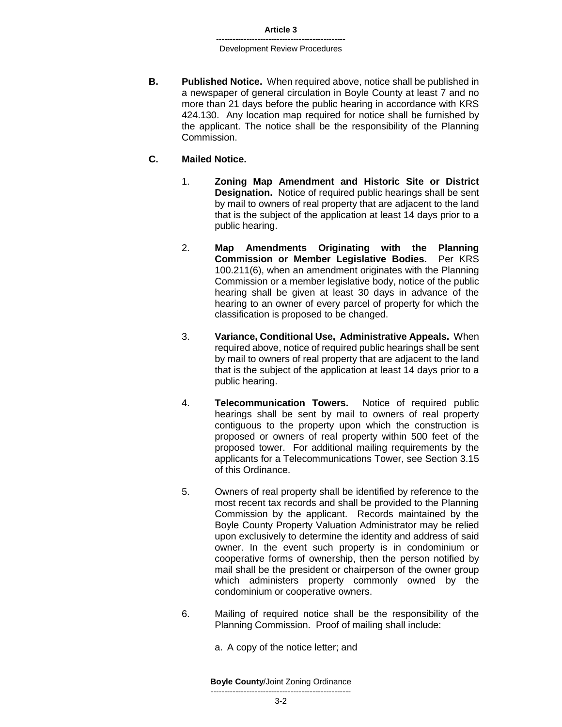**B. Published Notice.** When required above, notice shall be published in a newspaper of general circulation in Boyle County at least 7 and no more than 21 days before the public hearing in accordance with KRS 424.130. Any location map required for notice shall be furnished by the applicant. The notice shall be the responsibility of the Planning Commission.

### **C. Mailed Notice.**

- 1. **Zoning Map Amendment and Historic Site or District Designation.** Notice of required public hearings shall be sent by mail to owners of real property that are adjacent to the land that is the subject of the application at least 14 days prior to a public hearing.
- 2. **Map Amendments Originating with the Planning Commission or Member Legislative Bodies.** Per KRS 100.211(6), when an amendment originates with the Planning Commission or a member legislative body, notice of the public hearing shall be given at least 30 days in advance of the hearing to an owner of every parcel of property for which the classification is proposed to be changed.
- 3. **Variance, Conditional Use, Administrative Appeals.** When required above, notice of required public hearings shall be sent by mail to owners of real property that are adjacent to the land that is the subject of the application at least 14 days prior to a public hearing.
- 4. **Telecommunication Towers.** Notice of required public hearings shall be sent by mail to owners of real property contiguous to the property upon which the construction is proposed or owners of real property within 500 feet of the proposed tower. For additional mailing requirements by the applicants for a Telecommunications Tower, see Section 3.15 of this Ordinance.
- 5. Owners of real property shall be identified by reference to the most recent tax records and shall be provided to the Planning Commission by the applicant. Records maintained by the Boyle County Property Valuation Administrator may be relied upon exclusively to determine the identity and address of said owner. In the event such property is in condominium or cooperative forms of ownership, then the person notified by mail shall be the president or chairperson of the owner group which administers property commonly owned by the condominium or cooperative owners.
- 6. Mailing of required notice shall be the responsibility of the Planning Commission. Proof of mailing shall include:
	- a. A copy of the notice letter; and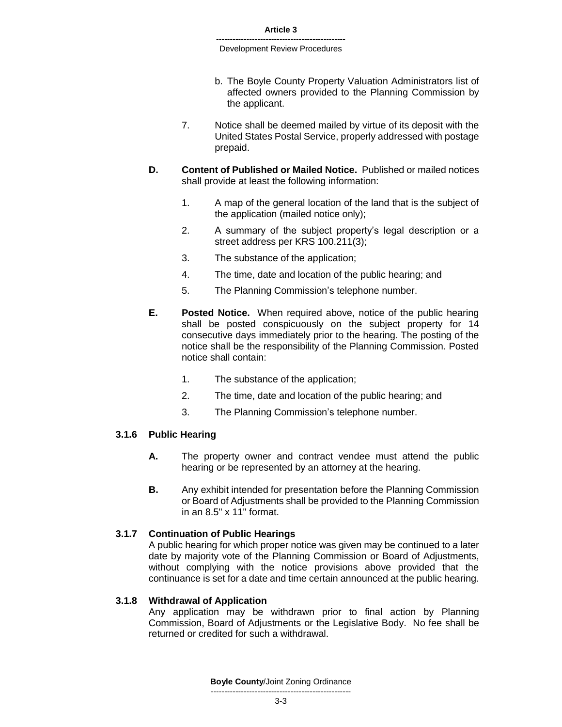- b. The Boyle County Property Valuation Administrators list of affected owners provided to the Planning Commission by the applicant.
- 7. Notice shall be deemed mailed by virtue of its deposit with the United States Postal Service, properly addressed with postage prepaid.
- **D. Content of Published or Mailed Notice.** Published or mailed notices shall provide at least the following information:
	- 1. A map of the general location of the land that is the subject of the application (mailed notice only);
	- 2. A summary of the subject property's legal description or a street address per KRS 100.211(3);
	- 3. The substance of the application;
	- 4. The time, date and location of the public hearing; and
	- 5. The Planning Commission's telephone number.
- **E. Posted Notice.** When required above, notice of the public hearing shall be posted conspicuously on the subject property for 14 consecutive days immediately prior to the hearing. The posting of the notice shall be the responsibility of the Planning Commission. Posted notice shall contain:
	- 1. The substance of the application;
	- 2. The time, date and location of the public hearing; and
	- 3. The Planning Commission's telephone number.

# **3.1.6 Public Hearing**

- **A.** The property owner and contract vendee must attend the public hearing or be represented by an attorney at the hearing.
- **B.** Any exhibit intended for presentation before the Planning Commission or Board of Adjustments shall be provided to the Planning Commission in an 8.5" x 11" format.

### **3.1.7 Continuation of Public Hearings**

A public hearing for which proper notice was given may be continued to a later date by majority vote of the Planning Commission or Board of Adjustments, without complying with the notice provisions above provided that the continuance is set for a date and time certain announced at the public hearing.

### **3.1.8 Withdrawal of Application**

Any application may be withdrawn prior to final action by Planning Commission, Board of Adjustments or the Legislative Body. No fee shall be returned or credited for such a withdrawal.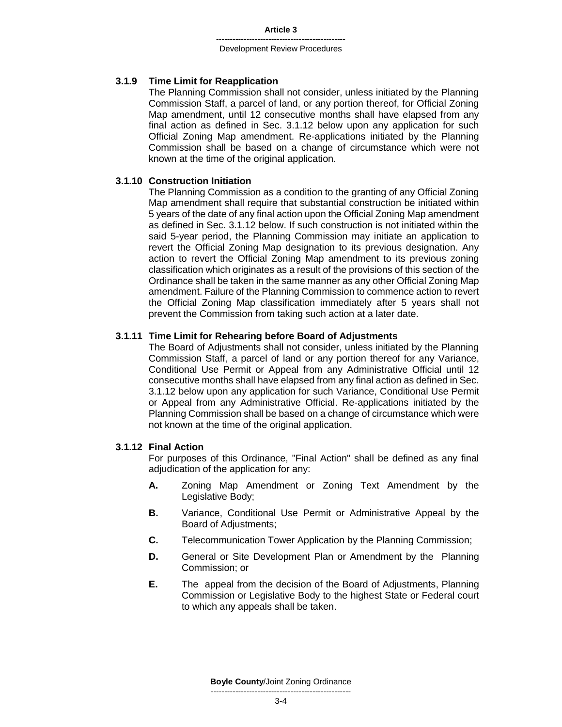### **3.1.9 Time Limit for Reapplication**

The Planning Commission shall not consider, unless initiated by the Planning Commission Staff, a parcel of land, or any portion thereof, for Official Zoning Map amendment, until 12 consecutive months shall have elapsed from any final action as defined in Sec. 3.1.12 below upon any application for such Official Zoning Map amendment. Re-applications initiated by the Planning Commission shall be based on a change of circumstance which were not known at the time of the original application.

### **3.1.10 Construction Initiation**

The Planning Commission as a condition to the granting of any Official Zoning Map amendment shall require that substantial construction be initiated within 5 years of the date of any final action upon the Official Zoning Map amendment as defined in Sec. 3.1.12 below. If such construction is not initiated within the said 5-year period, the Planning Commission may initiate an application to revert the Official Zoning Map designation to its previous designation. Any action to revert the Official Zoning Map amendment to its previous zoning classification which originates as a result of the provisions of this section of the Ordinance shall be taken in the same manner as any other Official Zoning Map amendment. Failure of the Planning Commission to commence action to revert the Official Zoning Map classification immediately after 5 years shall not prevent the Commission from taking such action at a later date.

### **3.1.11 Time Limit for Rehearing before Board of Adjustments**

The Board of Adjustments shall not consider, unless initiated by the Planning Commission Staff, a parcel of land or any portion thereof for any Variance, Conditional Use Permit or Appeal from any Administrative Official until 12 consecutive months shall have elapsed from any final action as defined in Sec. 3.1.12 below upon any application for such Variance, Conditional Use Permit or Appeal from any Administrative Official. Re-applications initiated by the Planning Commission shall be based on a change of circumstance which were not known at the time of the original application.

### **3.1.12 Final Action**

For purposes of this Ordinance, "Final Action" shall be defined as any final adjudication of the application for any:

- **A.** Zoning Map Amendment or Zoning Text Amendment by the Legislative Body;
- **B.** Variance, Conditional Use Permit or Administrative Appeal by the Board of Adjustments;
- **C.** Telecommunication Tower Application by the Planning Commission;
- **D.** General or Site Development Plan or Amendment by the Planning Commission; or
- **E.** The appeal from the decision of the Board of Adjustments, Planning Commission or Legislative Body to the highest State or Federal court to which any appeals shall be taken.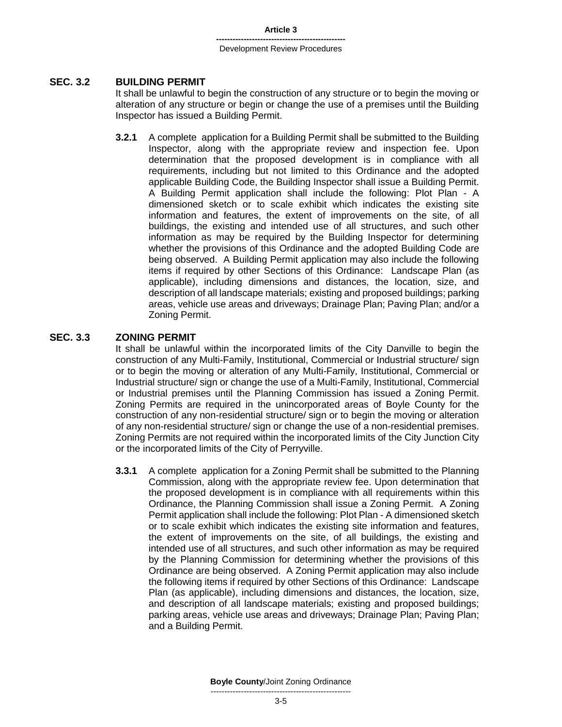# **SEC. 3.2 BUILDING PERMIT**

It shall be unlawful to begin the construction of any structure or to begin the moving or alteration of any structure or begin or change the use of a premises until the Building Inspector has issued a Building Permit.

**3.2.1** A complete application for a Building Permit shall be submitted to the Building Inspector, along with the appropriate review and inspection fee. Upon determination that the proposed development is in compliance with all requirements, including but not limited to this Ordinance and the adopted applicable Building Code, the Building Inspector shall issue a Building Permit. A Building Permit application shall include the following: Plot Plan - A dimensioned sketch or to scale exhibit which indicates the existing site information and features, the extent of improvements on the site, of all buildings, the existing and intended use of all structures, and such other information as may be required by the Building Inspector for determining whether the provisions of this Ordinance and the adopted Building Code are being observed. A Building Permit application may also include the following items if required by other Sections of this Ordinance: Landscape Plan (as applicable), including dimensions and distances, the location, size, and description of all landscape materials; existing and proposed buildings; parking areas, vehicle use areas and driveways; Drainage Plan; Paving Plan; and/or a Zoning Permit.

### **SEC. 3.3 ZONING PERMIT**

It shall be unlawful within the incorporated limits of the City Danville to begin the construction of any Multi-Family, Institutional, Commercial or Industrial structure/ sign or to begin the moving or alteration of any Multi-Family, Institutional, Commercial or Industrial structure/ sign or change the use of a Multi-Family, Institutional, Commercial or Industrial premises until the Planning Commission has issued a Zoning Permit. Zoning Permits are required in the unincorporated areas of Boyle County for the construction of any non-residential structure/ sign or to begin the moving or alteration of any non-residential structure/ sign or change the use of a non-residential premises. Zoning Permits are not required within the incorporated limits of the City Junction City or the incorporated limits of the City of Perryville.

**3.3.1** A complete application for a Zoning Permit shall be submitted to the Planning Commission, along with the appropriate review fee. Upon determination that the proposed development is in compliance with all requirements within this Ordinance, the Planning Commission shall issue a Zoning Permit. A Zoning Permit application shall include the following: Plot Plan - A dimensioned sketch or to scale exhibit which indicates the existing site information and features, the extent of improvements on the site, of all buildings, the existing and intended use of all structures, and such other information as may be required by the Planning Commission for determining whether the provisions of this Ordinance are being observed. A Zoning Permit application may also include the following items if required by other Sections of this Ordinance: Landscape Plan (as applicable), including dimensions and distances, the location, size, and description of all landscape materials; existing and proposed buildings; parking areas, vehicle use areas and driveways; Drainage Plan; Paving Plan; and a Building Permit.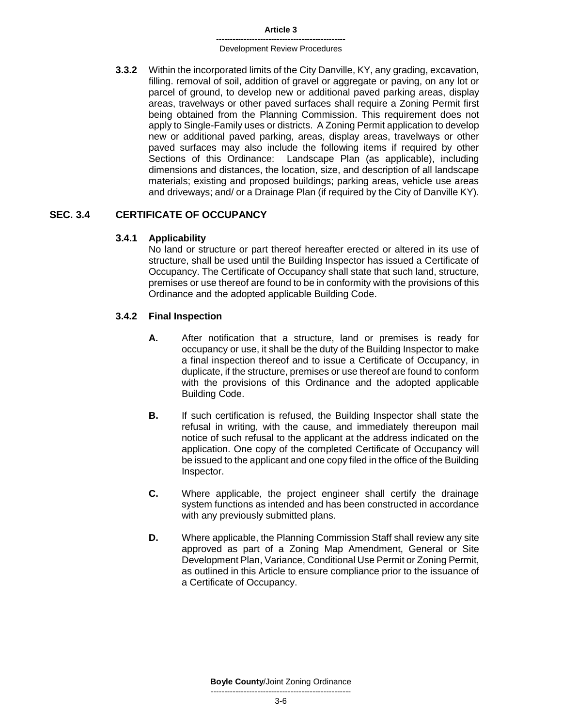#### **Article 3**

#### **-----------------------------------------------** Development Review Procedures

**3.3.2** Within the incorporated limits of the City Danville, KY, any grading, excavation, filling. removal of soil, addition of gravel or aggregate or paving, on any lot or parcel of ground, to develop new or additional paved parking areas, display areas, travelways or other paved surfaces shall require a Zoning Permit first being obtained from the Planning Commission. This requirement does not apply to Single-Family uses or districts. A Zoning Permit application to develop new or additional paved parking, areas, display areas, travelways or other paved surfaces may also include the following items if required by other Sections of this Ordinance: Landscape Plan (as applicable), including dimensions and distances, the location, size, and description of all landscape materials; existing and proposed buildings; parking areas, vehicle use areas and driveways; and/ or a Drainage Plan (if required by the City of Danville KY).

# **SEC. 3.4 CERTIFICATE OF OCCUPANCY**

# **3.4.1 Applicability**

No land or structure or part thereof hereafter erected or altered in its use of structure, shall be used until the Building Inspector has issued a Certificate of Occupancy. The Certificate of Occupancy shall state that such land, structure, premises or use thereof are found to be in conformity with the provisions of this Ordinance and the adopted applicable Building Code.

# **3.4.2 Final Inspection**

- **A.** After notification that a structure, land or premises is ready for occupancy or use, it shall be the duty of the Building Inspector to make a final inspection thereof and to issue a Certificate of Occupancy, in duplicate, if the structure, premises or use thereof are found to conform with the provisions of this Ordinance and the adopted applicable Building Code.
- **B.** If such certification is refused, the Building Inspector shall state the refusal in writing, with the cause, and immediately thereupon mail notice of such refusal to the applicant at the address indicated on the application. One copy of the completed Certificate of Occupancy will be issued to the applicant and one copy filed in the office of the Building Inspector.
- **C.** Where applicable, the project engineer shall certify the drainage system functions as intended and has been constructed in accordance with any previously submitted plans.
- **D.** Where applicable, the Planning Commission Staff shall review any site approved as part of a Zoning Map Amendment, General or Site Development Plan, Variance, Conditional Use Permit or Zoning Permit, as outlined in this Article to ensure compliance prior to the issuance of a Certificate of Occupancy.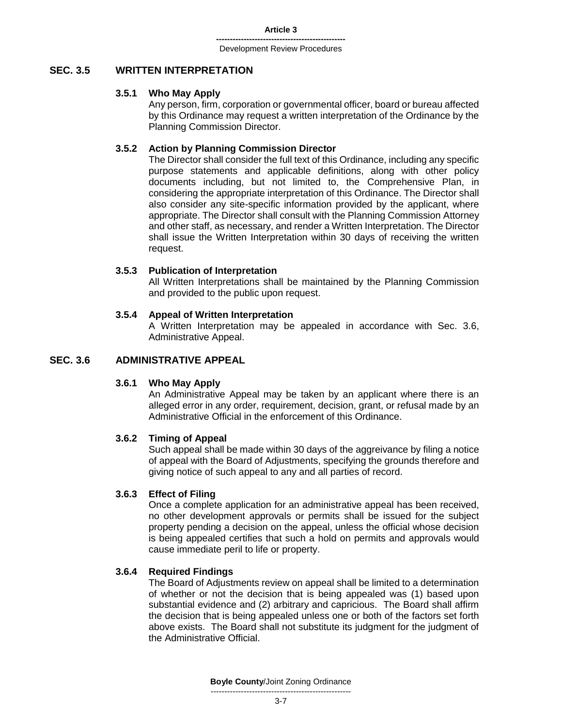# **SEC. 3.5 WRITTEN INTERPRETATION**

### **3.5.1 Who May Apply**

Any person, firm, corporation or governmental officer, board or bureau affected by this Ordinance may request a written interpretation of the Ordinance by the Planning Commission Director.

### **3.5.2 Action by Planning Commission Director**

The Director shall consider the full text of this Ordinance, including any specific purpose statements and applicable definitions, along with other policy documents including, but not limited to, the Comprehensive Plan, in considering the appropriate interpretation of this Ordinance. The Director shall also consider any site-specific information provided by the applicant, where appropriate. The Director shall consult with the Planning Commission Attorney and other staff, as necessary, and render a Written Interpretation. The Director shall issue the Written Interpretation within 30 days of receiving the written request.

### **3.5.3 Publication of Interpretation**

All Written Interpretations shall be maintained by the Planning Commission and provided to the public upon request.

### **3.5.4 Appeal of Written Interpretation**

A Written Interpretation may be appealed in accordance with Sec. 3.6, Administrative Appeal.

# **SEC. 3.6 ADMINISTRATIVE APPEAL**

### **3.6.1 Who May Apply**

An Administrative Appeal may be taken by an applicant where there is an alleged error in any order, requirement, decision, grant, or refusal made by an Administrative Official in the enforcement of this Ordinance.

### **3.6.2 Timing of Appeal**

Such appeal shall be made within 30 days of the aggreivance by filing a notice of appeal with the Board of Adjustments, specifying the grounds therefore and giving notice of such appeal to any and all parties of record.

### **3.6.3 Effect of Filing**

Once a complete application for an administrative appeal has been received, no other development approvals or permits shall be issued for the subject property pending a decision on the appeal, unless the official whose decision is being appealed certifies that such a hold on permits and approvals would cause immediate peril to life or property.

### **3.6.4 Required Findings**

The Board of Adjustments review on appeal shall be limited to a determination of whether or not the decision that is being appealed was (1) based upon substantial evidence and (2) arbitrary and capricious. The Board shall affirm the decision that is being appealed unless one or both of the factors set forth above exists. The Board shall not substitute its judgment for the judgment of the Administrative Official.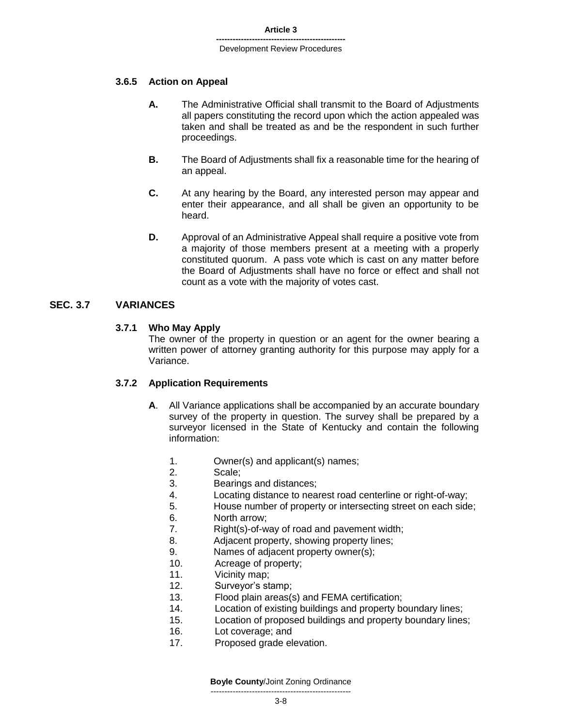### **3.6.5 Action on Appeal**

- **A.** The Administrative Official shall transmit to the Board of Adjustments all papers constituting the record upon which the action appealed was taken and shall be treated as and be the respondent in such further proceedings.
- **B.** The Board of Adjustments shall fix a reasonable time for the hearing of an appeal.
- **C.** At any hearing by the Board, any interested person may appear and enter their appearance, and all shall be given an opportunity to be heard.
- **D.** Approval of an Administrative Appeal shall require a positive vote from a majority of those members present at a meeting with a properly constituted quorum. A pass vote which is cast on any matter before the Board of Adjustments shall have no force or effect and shall not count as a vote with the majority of votes cast.

# **SEC. 3.7 VARIANCES**

### **3.7.1 Who May Apply**

The owner of the property in question or an agent for the owner bearing a written power of attorney granting authority for this purpose may apply for a Variance.

### **3.7.2 Application Requirements**

- **A**. All Variance applications shall be accompanied by an accurate boundary survey of the property in question. The survey shall be prepared by a surveyor licensed in the State of Kentucky and contain the following information:
	- 1. Owner(s) and applicant(s) names;
	- 2. Scale;
	- 3. Bearings and distances;
	- 4. Locating distance to nearest road centerline or right-of-way;
	- 5. House number of property or intersecting street on each side;
	- 6. North arrow;
	- 7. Right(s)-of-way of road and pavement width;
	- 8. Adjacent property, showing property lines;
	- 9. Names of adjacent property owner(s);
	- 10. Acreage of property;
	- 11. Vicinity map;
	- 12. Surveyor's stamp;
	- 13. Flood plain areas(s) and FEMA certification;
	- 14. Location of existing buildings and property boundary lines;
	- 15. Location of proposed buildings and property boundary lines;
	- 16. Lot coverage; and
	- 17. Proposed grade elevation.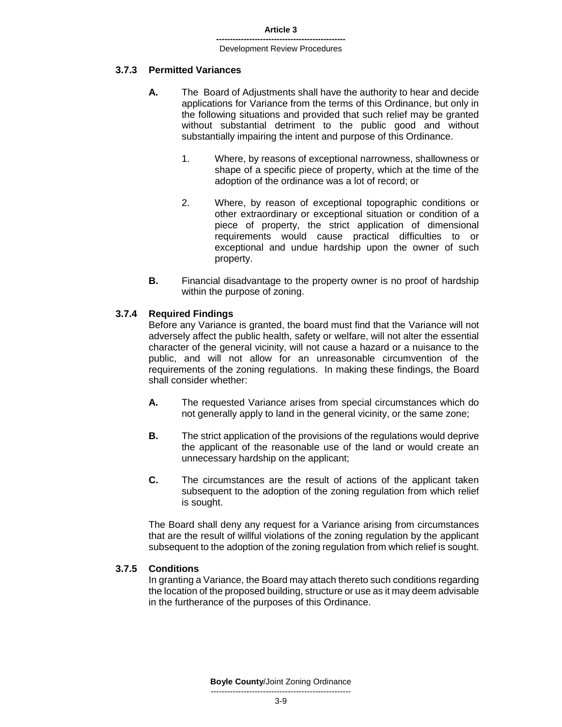### **3.7.3 Permitted Variances**

- **A.** The Board of Adjustments shall have the authority to hear and decide applications for Variance from the terms of this Ordinance, but only in the following situations and provided that such relief may be granted without substantial detriment to the public good and without substantially impairing the intent and purpose of this Ordinance.
	- 1. Where, by reasons of exceptional narrowness, shallowness or shape of a specific piece of property, which at the time of the adoption of the ordinance was a lot of record; or
	- 2. Where, by reason of exceptional topographic conditions or other extraordinary or exceptional situation or condition of a piece of property, the strict application of dimensional requirements would cause practical difficulties to or exceptional and undue hardship upon the owner of such property.
- **B.** Financial disadvantage to the property owner is no proof of hardship within the purpose of zoning.

### **3.7.4 Required Findings**

Before any Variance is granted, the board must find that the Variance will not adversely affect the public health, safety or welfare, will not alter the essential character of the general vicinity, will not cause a hazard or a nuisance to the public, and will not allow for an unreasonable circumvention of the requirements of the zoning regulations. In making these findings, the Board shall consider whether:

- **A.** The requested Variance arises from special circumstances which do not generally apply to land in the general vicinity, or the same zone;
- **B.** The strict application of the provisions of the regulations would deprive the applicant of the reasonable use of the land or would create an unnecessary hardship on the applicant;
- **C.** The circumstances are the result of actions of the applicant taken subsequent to the adoption of the zoning regulation from which relief is sought.

The Board shall deny any request for a Variance arising from circumstances that are the result of willful violations of the zoning regulation by the applicant subsequent to the adoption of the zoning regulation from which relief is sought.

### **3.7.5 Conditions**

In granting a Variance, the Board may attach thereto such conditions regarding the location of the proposed building, structure or use as it may deem advisable in the furtherance of the purposes of this Ordinance.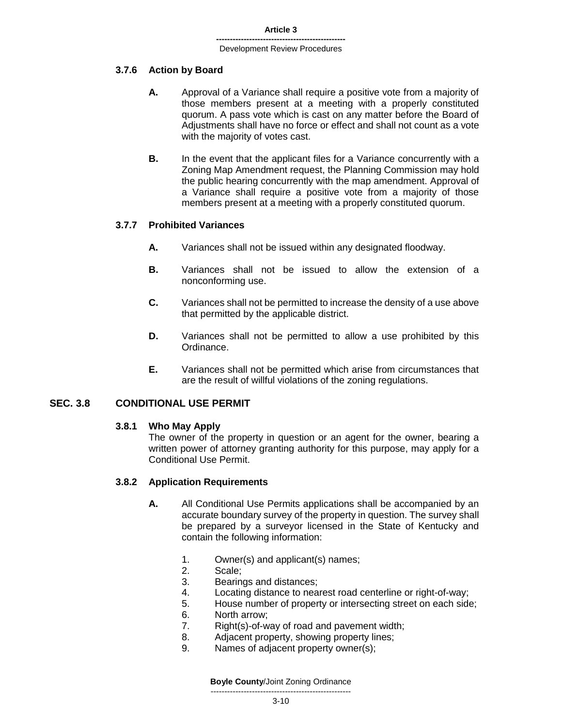### **3.7.6 Action by Board**

- **A.** Approval of a Variance shall require a positive vote from a majority of those members present at a meeting with a properly constituted quorum. A pass vote which is cast on any matter before the Board of Adjustments shall have no force or effect and shall not count as a vote with the majority of votes cast.
- **B.** In the event that the applicant files for a Variance concurrently with a Zoning Map Amendment request, the Planning Commission may hold the public hearing concurrently with the map amendment. Approval of a Variance shall require a positive vote from a majority of those members present at a meeting with a properly constituted quorum.

### **3.7.7 Prohibited Variances**

- **A.** Variances shall not be issued within any designated floodway.
- **B.** Variances shall not be issued to allow the extension of a nonconforming use.
- **C.** Variances shall not be permitted to increase the density of a use above that permitted by the applicable district.
- **D.** Variances shall not be permitted to allow a use prohibited by this Ordinance.
- **E.** Variances shall not be permitted which arise from circumstances that are the result of willful violations of the zoning regulations.

### **SEC. 3.8 CONDITIONAL USE PERMIT**

### **3.8.1 Who May Apply**

The owner of the property in question or an agent for the owner, bearing a written power of attorney granting authority for this purpose, may apply for a Conditional Use Permit.

### **3.8.2 Application Requirements**

- **A.** All Conditional Use Permits applications shall be accompanied by an accurate boundary survey of the property in question. The survey shall be prepared by a surveyor licensed in the State of Kentucky and contain the following information:
	- 1. Owner(s) and applicant(s) names;
	- 2. Scale;
	- 3. Bearings and distances;
	- 4. Locating distance to nearest road centerline or right-of-way;
	- 5. House number of property or intersecting street on each side;
	- 6. North arrow;
	- 7. Right(s)-of-way of road and pavement width;
	- 8. Adjacent property, showing property lines;
	- 9. Names of adjacent property owner(s);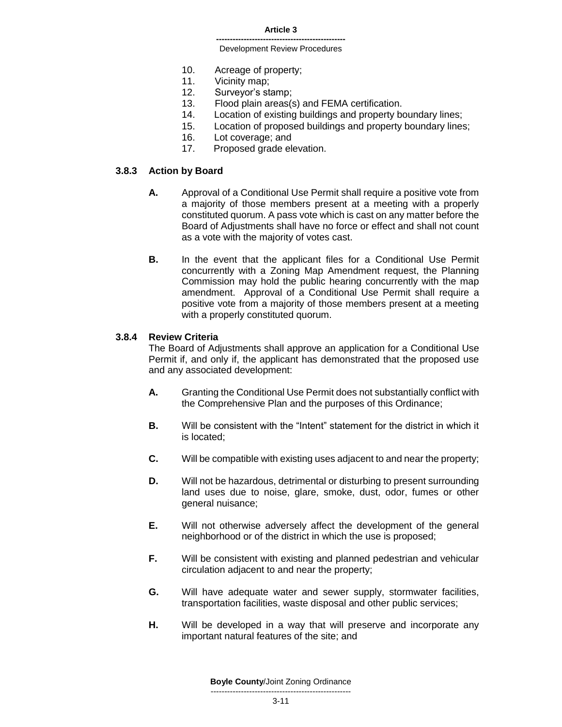#### **Article 3**

#### **-----------------------------------------------** Development Review Procedures

- 10. Acreage of property;
- 11. Vicinity map;
- 12. Surveyor's stamp;
- 13. Flood plain areas(s) and FEMA certification.
- 14. Location of existing buildings and property boundary lines;
- 15. Location of proposed buildings and property boundary lines;
- 16. Lot coverage; and
- 17. Proposed grade elevation.

### **3.8.3 Action by Board**

- **A.** Approval of a Conditional Use Permit shall require a positive vote from a majority of those members present at a meeting with a properly constituted quorum. A pass vote which is cast on any matter before the Board of Adjustments shall have no force or effect and shall not count as a vote with the majority of votes cast.
- **B.** In the event that the applicant files for a Conditional Use Permit concurrently with a Zoning Map Amendment request, the Planning Commission may hold the public hearing concurrently with the map amendment. Approval of a Conditional Use Permit shall require a positive vote from a majority of those members present at a meeting with a properly constituted quorum.

### **3.8.4 Review Criteria**

The Board of Adjustments shall approve an application for a Conditional Use Permit if, and only if, the applicant has demonstrated that the proposed use and any associated development:

- **A.** Granting the Conditional Use Permit does not substantially conflict with the Comprehensive Plan and the purposes of this Ordinance;
- **B.** Will be consistent with the "Intent" statement for the district in which it is located;
- **C.** Will be compatible with existing uses adjacent to and near the property;
- **D.** Will not be hazardous, detrimental or disturbing to present surrounding land uses due to noise, glare, smoke, dust, odor, fumes or other general nuisance;
- **E.** Will not otherwise adversely affect the development of the general neighborhood or of the district in which the use is proposed;
- **F.** Will be consistent with existing and planned pedestrian and vehicular circulation adjacent to and near the property;
- **G.** Will have adequate water and sewer supply, stormwater facilities, transportation facilities, waste disposal and other public services;
- **H.** Will be developed in a way that will preserve and incorporate any important natural features of the site; and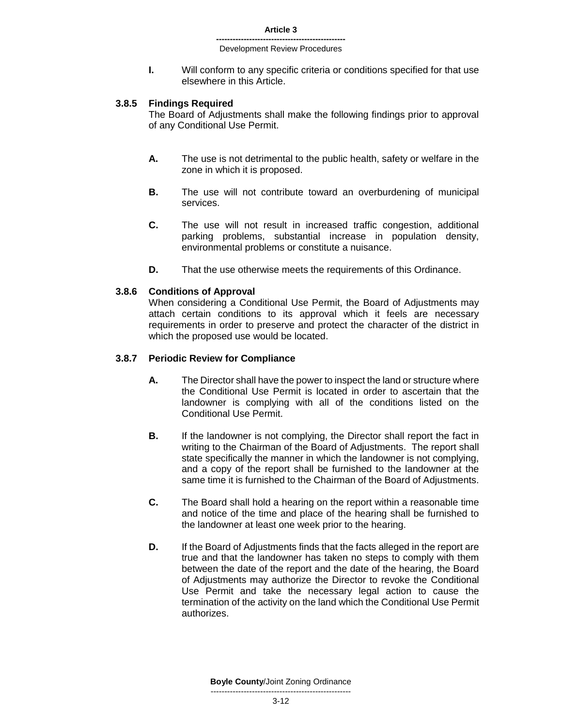**I.** Will conform to any specific criteria or conditions specified for that use elsewhere in this Article.

### **3.8.5 Findings Required**

The Board of Adjustments shall make the following findings prior to approval of any Conditional Use Permit.

- **A.** The use is not detrimental to the public health, safety or welfare in the zone in which it is proposed.
- **B.** The use will not contribute toward an overburdening of municipal services.
- **C.** The use will not result in increased traffic congestion, additional parking problems, substantial increase in population density, environmental problems or constitute a nuisance.
- **D.** That the use otherwise meets the requirements of this Ordinance.

### **3.8.6 Conditions of Approval**

When considering a Conditional Use Permit, the Board of Adjustments may attach certain conditions to its approval which it feels are necessary requirements in order to preserve and protect the character of the district in which the proposed use would be located.

### **3.8.7 Periodic Review for Compliance**

- **A.** The Director shall have the power to inspect the land or structure where the Conditional Use Permit is located in order to ascertain that the landowner is complying with all of the conditions listed on the Conditional Use Permit.
- **B.** If the landowner is not complying, the Director shall report the fact in writing to the Chairman of the Board of Adjustments. The report shall state specifically the manner in which the landowner is not complying, and a copy of the report shall be furnished to the landowner at the same time it is furnished to the Chairman of the Board of Adjustments.
- **C.** The Board shall hold a hearing on the report within a reasonable time and notice of the time and place of the hearing shall be furnished to the landowner at least one week prior to the hearing.
- **D.** If the Board of Adjustments finds that the facts alleged in the report are true and that the landowner has taken no steps to comply with them between the date of the report and the date of the hearing, the Board of Adjustments may authorize the Director to revoke the Conditional Use Permit and take the necessary legal action to cause the termination of the activity on the land which the Conditional Use Permit authorizes.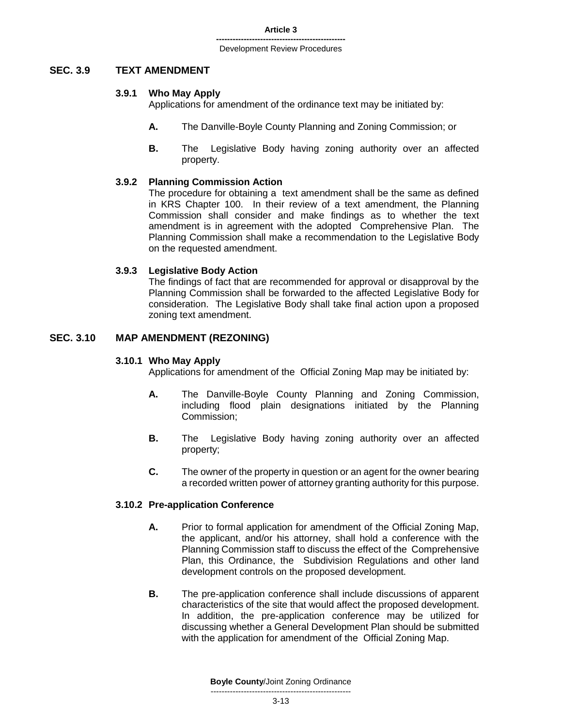### **SEC. 3.9 TEXT AMENDMENT**

### **3.9.1 Who May Apply**

Applications for amendment of the ordinance text may be initiated by:

- **A.** The Danville-Boyle County Planning and Zoning Commission; or
- **B.** The Legislative Body having zoning authority over an affected property.

### **3.9.2 Planning Commission Action**

The procedure for obtaining a text amendment shall be the same as defined in KRS Chapter 100.In their review of a text amendment, the Planning Commission shall consider and make findings as to whether the text amendment is in agreement with the adopted Comprehensive Plan. The Planning Commission shall make a recommendation to the Legislative Body on the requested amendment.

### **3.9.3 Legislative Body Action**

The findings of fact that are recommended for approval or disapproval by the Planning Commission shall be forwarded to the affected Legislative Body for consideration. The Legislative Body shall take final action upon a proposed zoning text amendment.

### **SEC. 3.10 MAP AMENDMENT (REZONING)**

### **3.10.1 Who May Apply**

Applications for amendment of the Official Zoning Map may be initiated by:

- **A.** The Danville-Boyle County Planning and Zoning Commission, including flood plain designations initiated by the Planning Commission;
- **B.** The Legislative Body having zoning authority over an affected property;
- **C.** The owner of the property in question or an agent for the owner bearing a recorded written power of attorney granting authority for this purpose.

# **3.10.2 Pre-application Conference**

- **A.** Prior to formal application for amendment of the Official Zoning Map, the applicant, and/or his attorney, shall hold a conference with the Planning Commission staff to discuss the effect of the Comprehensive Plan, this Ordinance, the Subdivision Regulations and other land development controls on the proposed development.
- **B.** The pre-application conference shall include discussions of apparent characteristics of the site that would affect the proposed development. In addition, the pre-application conference may be utilized for discussing whether a General Development Plan should be submitted with the application for amendment of the Official Zoning Map.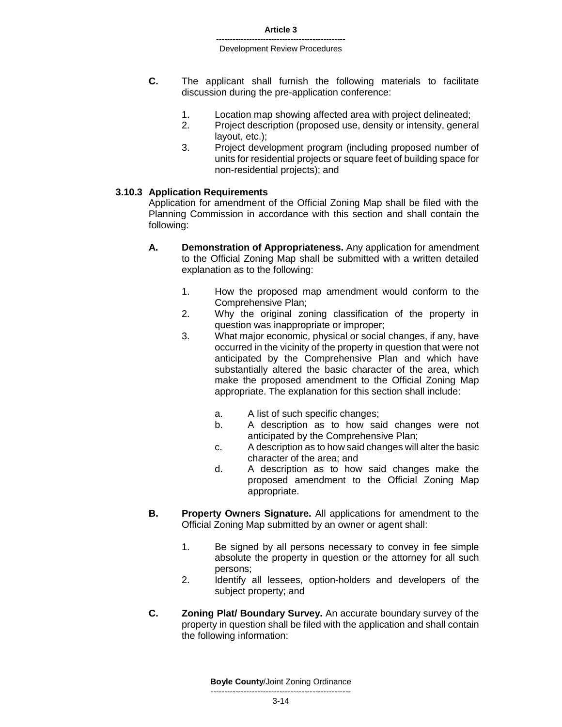- **C.** The applicant shall furnish the following materials to facilitate discussion during the pre-application conference:
	- 1. Location map showing affected area with project delineated;
	- 2. Project description (proposed use, density or intensity, general layout, etc.);
	- 3. Project development program (including proposed number of units for residential projects or square feet of building space for non-residential projects); and

### **3.10.3 Application Requirements**

Application for amendment of the Official Zoning Map shall be filed with the Planning Commission in accordance with this section and shall contain the following:

- **A. Demonstration of Appropriateness.** Any application for amendment to the Official Zoning Map shall be submitted with a written detailed explanation as to the following:
	- 1. How the proposed map amendment would conform to the Comprehensive Plan;
	- 2. Why the original zoning classification of the property in question was inappropriate or improper;
	- 3. What major economic, physical or social changes, if any, have occurred in the vicinity of the property in question that were not anticipated by the Comprehensive Plan and which have substantially altered the basic character of the area, which make the proposed amendment to the Official Zoning Map appropriate. The explanation for this section shall include:
		- a. A list of such specific changes;
		- b. A description as to how said changes were not anticipated by the Comprehensive Plan;
		- c. A description as to how said changes will alter the basic character of the area; and
		- d. A description as to how said changes make the proposed amendment to the Official Zoning Map appropriate.
- **B. Property Owners Signature.** All applications for amendment to the Official Zoning Map submitted by an owner or agent shall:
	- 1. Be signed by all persons necessary to convey in fee simple absolute the property in question or the attorney for all such persons;
	- 2. Identify all lessees, option-holders and developers of the subject property; and
- **C. Zoning Plat/ Boundary Survey.** An accurate boundary survey of the property in question shall be filed with the application and shall contain the following information: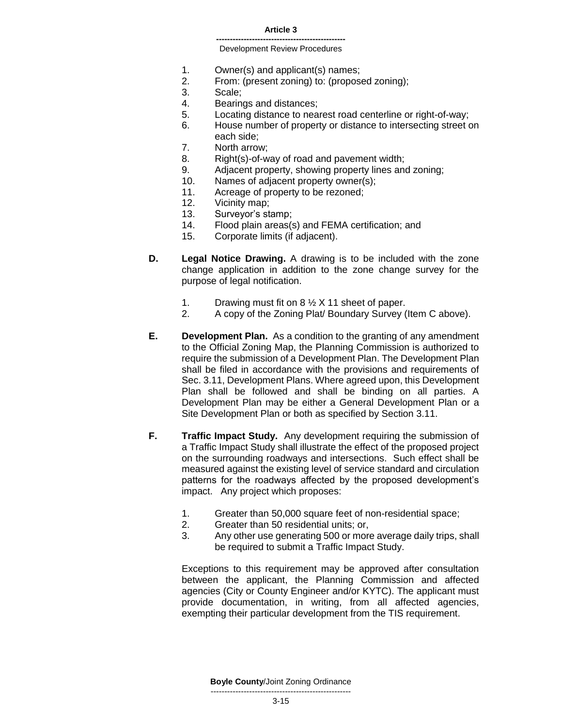#### **Article 3**

#### **-----------------------------------------------** Development Review Procedures

- 1. Owner(s) and applicant(s) names;
- 2. From: (present zoning) to: (proposed zoning);
- 3. Scale;
- 4. Bearings and distances;
- 5. Locating distance to nearest road centerline or right-of-way;
- 6. House number of property or distance to intersecting street on each side;
- 7. North arrow;
- 8. Right(s)-of-way of road and pavement width;
- 9. Adjacent property, showing property lines and zoning;
- 10. Names of adjacent property owner(s);
- 11. Acreage of property to be rezoned;
- 12. Vicinity map;
- 13. Surveyor's stamp;
- 14. Flood plain areas(s) and FEMA certification; and
- 15. Corporate limits (if adjacent).
- **D. Legal Notice Drawing.** A drawing is to be included with the zone change application in addition to the zone change survey for the purpose of legal notification.
	- 1. Drawing must fit on 8 ½ X 11 sheet of paper.
	- 2. A copy of the Zoning Plat/ Boundary Survey (Item C above).
- **E. Development Plan.** As a condition to the granting of any amendment to the Official Zoning Map, the Planning Commission is authorized to require the submission of a Development Plan. The Development Plan shall be filed in accordance with the provisions and requirements of Sec. 3.11, Development Plans. Where agreed upon, this Development Plan shall be followed and shall be binding on all parties. A Development Plan may be either a General Development Plan or a Site Development Plan or both as specified by Section 3.11.
- **F. Traffic Impact Study.** Any development requiring the submission of a Traffic Impact Study shall illustrate the effect of the proposed project on the surrounding roadways and intersections. Such effect shall be measured against the existing level of service standard and circulation patterns for the roadways affected by the proposed development's impact. Any project which proposes:
	- 1. Greater than 50,000 square feet of non-residential space;
	- 2. Greater than 50 residential units; or,
	- 3. Any other use generating 500 or more average daily trips, shall be required to submit a Traffic Impact Study.

Exceptions to this requirement may be approved after consultation between the applicant, the Planning Commission and affected agencies (City or County Engineer and/or KYTC). The applicant must provide documentation, in writing, from all affected agencies, exempting their particular development from the TIS requirement.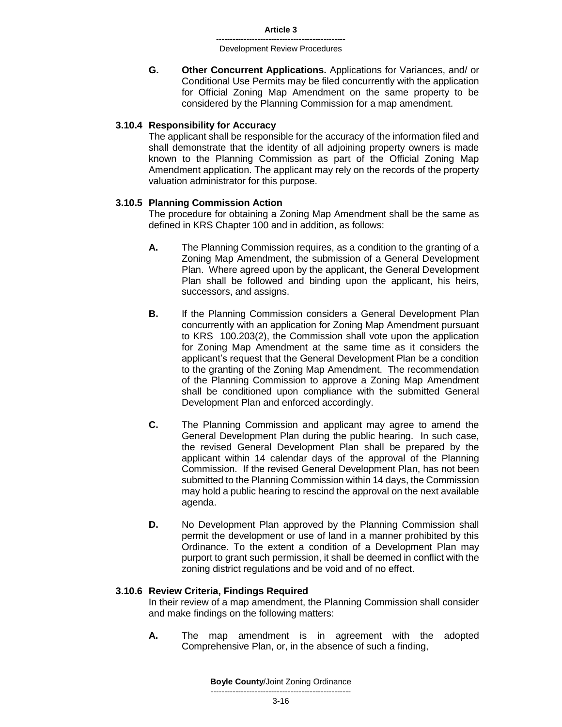**G. Other Concurrent Applications.** Applications for Variances, and/ or Conditional Use Permits may be filed concurrently with the application for Official Zoning Map Amendment on the same property to be considered by the Planning Commission for a map amendment.

### **3.10.4 Responsibility for Accuracy**

The applicant shall be responsible for the accuracy of the information filed and shall demonstrate that the identity of all adjoining property owners is made known to the Planning Commission as part of the Official Zoning Map Amendment application. The applicant may rely on the records of the property valuation administrator for this purpose.

### **3.10.5 Planning Commission Action**

The procedure for obtaining a Zoning Map Amendment shall be the same as defined in KRS Chapter 100 and in addition, as follows:

- **A.** The Planning Commission requires, as a condition to the granting of a Zoning Map Amendment, the submission of a General Development Plan. Where agreed upon by the applicant, the General Development Plan shall be followed and binding upon the applicant, his heirs, successors, and assigns.
- **B.** If the Planning Commission considers a General Development Plan concurrently with an application for Zoning Map Amendment pursuant to KRS 100.203(2), the Commission shall vote upon the application for Zoning Map Amendment at the same time as it considers the applicant's request that the General Development Plan be a condition to the granting of the Zoning Map Amendment. The recommendation of the Planning Commission to approve a Zoning Map Amendment shall be conditioned upon compliance with the submitted General Development Plan and enforced accordingly.
- **C.** The Planning Commission and applicant may agree to amend the General Development Plan during the public hearing. In such case, the revised General Development Plan shall be prepared by the applicant within 14 calendar days of the approval of the Planning Commission. If the revised General Development Plan, has not been submitted to the Planning Commission within 14 days, the Commission may hold a public hearing to rescind the approval on the next available agenda.
- **D.** No Development Plan approved by the Planning Commission shall permit the development or use of land in a manner prohibited by this Ordinance. To the extent a condition of a Development Plan may purport to grant such permission, it shall be deemed in conflict with the zoning district regulations and be void and of no effect.

### **3.10.6 Review Criteria, Findings Required**

In their review of a map amendment, the Planning Commission shall consider and make findings on the following matters:

**A.** The map amendment is in agreement with the adopted Comprehensive Plan, or, in the absence of such a finding,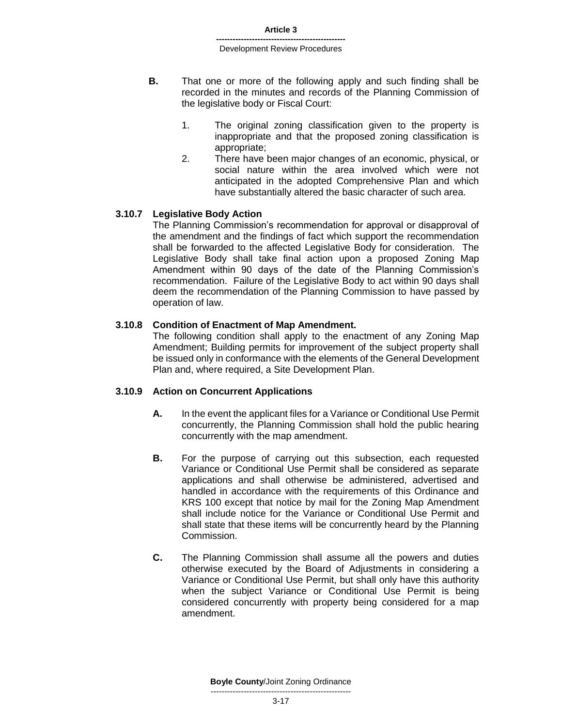- **B.** That one or more of the following apply and such finding shall be recorded in the minutes and records of the Planning Commission of the legislative body or Fiscal Court:
	- 1. The original zoning classification given to the property is inappropriate and that the proposed zoning classification is appropriate;
	- 2. There have been major changes of an economic, physical, or social nature within the area involved which were not anticipated in the adopted Comprehensive Plan and which have substantially altered the basic character of such area.

### **3.10.7 Legislative Body Action**

The Planning Commission's recommendation for approval or disapproval of the amendment and the findings of fact which support the recommendation shall be forwarded to the affected Legislative Body for consideration. The Legislative Body shall take final action upon a proposed Zoning Map Amendment within 90 days of the date of the Planning Commission's recommendation. Failure of the Legislative Body to act within 90 days shall deem the recommendation of the Planning Commission to have passed by operation of law.

### **3.10.8 Condition of Enactment of Map Amendment.**

The following condition shall apply to the enactment of any Zoning Map Amendment; Building permits for improvement of the subject property shall be issued only in conformance with the elements of the General Development Plan and, where required, a Site Development Plan.

### **3.10.9 Action on Concurrent Applications**

- **A.** In the event the applicant files for a Variance or Conditional Use Permit concurrently, the Planning Commission shall hold the public hearing concurrently with the map amendment.
- **B.** For the purpose of carrying out this subsection, each requested Variance or Conditional Use Permit shall be considered as separate applications and shall otherwise be administered, advertised and handled in accordance with the requirements of this Ordinance and KRS 100 except that notice by mail for the Zoning Map Amendment shall include notice for the Variance or Conditional Use Permit and shall state that these items will be concurrently heard by the Planning Commission.
- **C.** The Planning Commission shall assume all the powers and duties otherwise executed by the Board of Adjustments in considering a Variance or Conditional Use Permit, but shall only have this authority when the subject Variance or Conditional Use Permit is being considered concurrently with property being considered for a map amendment.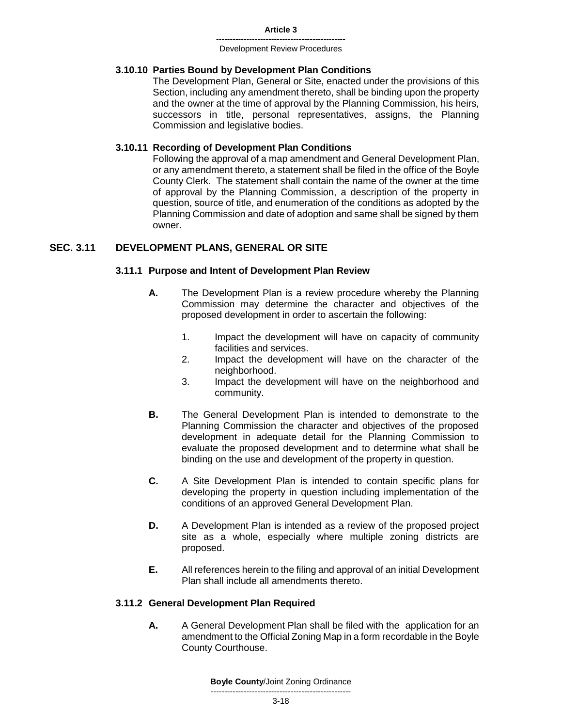# **3.10.10 Parties Bound by Development Plan Conditions**

The Development Plan, General or Site, enacted under the provisions of this Section, including any amendment thereto, shall be binding upon the property and the owner at the time of approval by the Planning Commission, his heirs, successors in title, personal representatives, assigns, the Planning Commission and legislative bodies.

### **3.10.11 Recording of Development Plan Conditions**

Following the approval of a map amendment and General Development Plan, or any amendment thereto, a statement shall be filed in the office of the Boyle County Clerk. The statement shall contain the name of the owner at the time of approval by the Planning Commission, a description of the property in question, source of title, and enumeration of the conditions as adopted by the Planning Commission and date of adoption and same shall be signed by them owner.

# **SEC. 3.11 DEVELOPMENT PLANS, GENERAL OR SITE**

### **3.11.1 Purpose and Intent of Development Plan Review**

- **A.** The Development Plan is a review procedure whereby the Planning Commission may determine the character and objectives of the proposed development in order to ascertain the following:
	- 1. Impact the development will have on capacity of community facilities and services.
	- 2. Impact the development will have on the character of the neighborhood.
	- 3. Impact the development will have on the neighborhood and community.
- **B.** The General Development Plan is intended to demonstrate to the Planning Commission the character and objectives of the proposed development in adequate detail for the Planning Commission to evaluate the proposed development and to determine what shall be binding on the use and development of the property in question.
- **C.** A Site Development Plan is intended to contain specific plans for developing the property in question including implementation of the conditions of an approved General Development Plan.
- **D.** A Development Plan is intended as a review of the proposed project site as a whole, especially where multiple zoning districts are proposed.
- **E.** All references herein to the filing and approval of an initial Development Plan shall include all amendments thereto.

# **3.11.2 General Development Plan Required**

**A.** A General Development Plan shall be filed with the application for an amendment to the Official Zoning Map in a form recordable in the Boyle County Courthouse.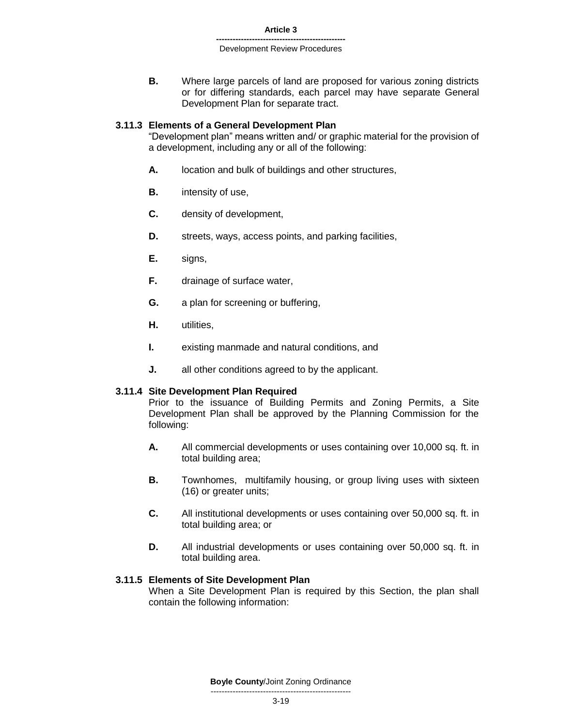**B.** Where large parcels of land are proposed for various zoning districts or for differing standards, each parcel may have separate General Development Plan for separate tract.

### **3.11.3 Elements of a General Development Plan**

"Development plan" means written and/ or graphic material for the provision of a development, including any or all of the following:

- **A.** location and bulk of buildings and other structures,
- **B.** intensity of use,
- **C.** density of development,
- **D.** streets, ways, access points, and parking facilities,
- **E.** signs,
- **F.** drainage of surface water,
- **G.** a plan for screening or buffering,
- **H.** utilities,
- **I.** existing manmade and natural conditions, and
- **J.** all other conditions agreed to by the applicant.

### **3.11.4 Site Development Plan Required**

Prior to the issuance of Building Permits and Zoning Permits, a Site Development Plan shall be approved by the Planning Commission for the following:

- **A.** All commercial developments or uses containing over 10,000 sq. ft. in total building area;
- **B.** Townhomes, multifamily housing, or group living uses with sixteen (16) or greater units;
- **C.** All institutional developments or uses containing over 50,000 sq. ft. in total building area; or
- **D.** All industrial developments or uses containing over 50,000 sq. ft. in total building area.

### **3.11.5 Elements of Site Development Plan**

When a Site Development Plan is required by this Section, the plan shall contain the following information: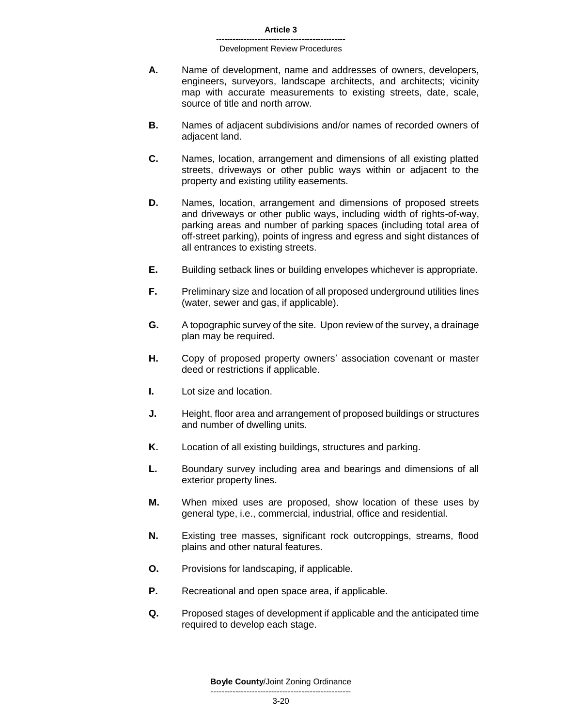- **A.** Name of development, name and addresses of owners, developers, engineers, surveyors, landscape architects, and architects; vicinity map with accurate measurements to existing streets, date, scale, source of title and north arrow.
- **B.** Names of adjacent subdivisions and/or names of recorded owners of adjacent land.
- **C.** Names, location, arrangement and dimensions of all existing platted streets, driveways or other public ways within or adjacent to the property and existing utility easements.
- **D.** Names, location, arrangement and dimensions of proposed streets and driveways or other public ways, including width of rights-of-way, parking areas and number of parking spaces (including total area of off-street parking), points of ingress and egress and sight distances of all entrances to existing streets.
- **E.** Building setback lines or building envelopes whichever is appropriate.
- **F.** Preliminary size and location of all proposed underground utilities lines (water, sewer and gas, if applicable).
- **G.** A topographic survey of the site. Upon review of the survey, a drainage plan may be required.
- **H.** Copy of proposed property owners' association covenant or master deed or restrictions if applicable.
- **I.** Lot size and location.
- **J.** Height, floor area and arrangement of proposed buildings or structures and number of dwelling units.
- **K.** Location of all existing buildings, structures and parking.
- **L.** Boundary survey including area and bearings and dimensions of all exterior property lines.
- **M.** When mixed uses are proposed, show location of these uses by general type, i.e., commercial, industrial, office and residential.
- **N.** Existing tree masses, significant rock outcroppings, streams, flood plains and other natural features.
- **O.** Provisions for landscaping, if applicable.
- **P.** Recreational and open space area, if applicable.
- **Q.** Proposed stages of development if applicable and the anticipated time required to develop each stage.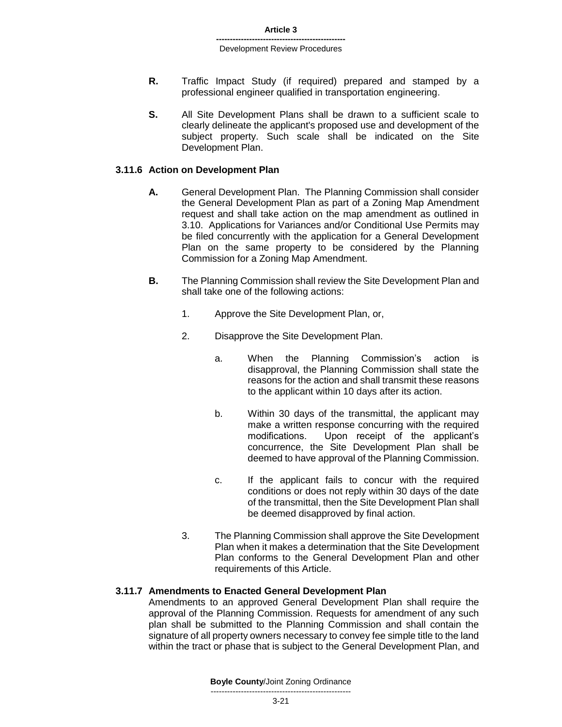- **R.** Traffic Impact Study (if required) prepared and stamped by a professional engineer qualified in transportation engineering.
- **S.** All Site Development Plans shall be drawn to a sufficient scale to clearly delineate the applicant's proposed use and development of the subject property. Such scale shall be indicated on the Site Development Plan.

### **3.11.6 Action on Development Plan**

- **A.** General Development Plan. The Planning Commission shall consider the General Development Plan as part of a Zoning Map Amendment request and shall take action on the map amendment as outlined in 3.10. Applications for Variances and/or Conditional Use Permits may be filed concurrently with the application for a General Development Plan on the same property to be considered by the Planning Commission for a Zoning Map Amendment.
- **B.** The Planning Commission shall review the Site Development Plan and shall take one of the following actions:
	- 1. Approve the Site Development Plan, or,
	- 2. Disapprove the Site Development Plan.
		- a. When the Planning Commission's action is disapproval, the Planning Commission shall state the reasons for the action and shall transmit these reasons to the applicant within 10 days after its action.
		- b. Within 30 days of the transmittal, the applicant may make a written response concurring with the required modifications. Upon receipt of the applicant's concurrence, the Site Development Plan shall be deemed to have approval of the Planning Commission.
		- c. If the applicant fails to concur with the required conditions or does not reply within 30 days of the date of the transmittal, then the Site Development Plan shall be deemed disapproved by final action.
	- 3. The Planning Commission shall approve the Site Development Plan when it makes a determination that the Site Development Plan conforms to the General Development Plan and other requirements of this Article.

### **3.11.7 Amendments to Enacted General Development Plan**

Amendments to an approved General Development Plan shall require the approval of the Planning Commission. Requests for amendment of any such plan shall be submitted to the Planning Commission and shall contain the signature of all property owners necessary to convey fee simple title to the land within the tract or phase that is subject to the General Development Plan, and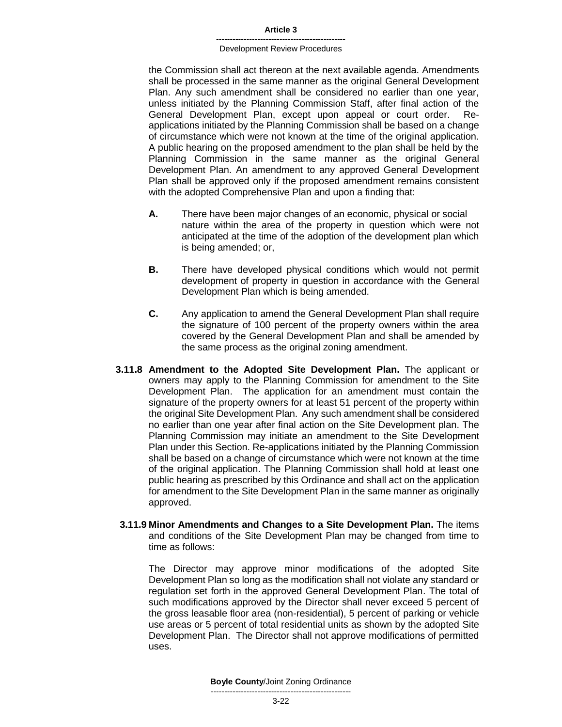#### **Article 3**

#### **-----------------------------------------------** Development Review Procedures

the Commission shall act thereon at the next available agenda. Amendments shall be processed in the same manner as the original General Development Plan. Any such amendment shall be considered no earlier than one year, unless initiated by the Planning Commission Staff, after final action of the General Development Plan, except upon appeal or court order. Reapplications initiated by the Planning Commission shall be based on a change of circumstance which were not known at the time of the original application. A public hearing on the proposed amendment to the plan shall be held by the Planning Commission in the same manner as the original General Development Plan. An amendment to any approved General Development Plan shall be approved only if the proposed amendment remains consistent with the adopted Comprehensive Plan and upon a finding that:

- **A.** There have been major changes of an economic, physical or social nature within the area of the property in question which were not anticipated at the time of the adoption of the development plan which is being amended; or,
- **B.** There have developed physical conditions which would not permit development of property in question in accordance with the General Development Plan which is being amended.
- **C.** Any application to amend the General Development Plan shall require the signature of 100 percent of the property owners within the area covered by the General Development Plan and shall be amended by the same process as the original zoning amendment.
- **3.11.8 Amendment to the Adopted Site Development Plan.** The applicant or owners may apply to the Planning Commission for amendment to the Site Development Plan. The application for an amendment must contain the signature of the property owners for at least 51 percent of the property within the original Site Development Plan. Any such amendment shall be considered no earlier than one year after final action on the Site Development plan. The Planning Commission may initiate an amendment to the Site Development Plan under this Section. Re-applications initiated by the Planning Commission shall be based on a change of circumstance which were not known at the time of the original application. The Planning Commission shall hold at least one public hearing as prescribed by this Ordinance and shall act on the application for amendment to the Site Development Plan in the same manner as originally approved.
- **3.11.9 Minor Amendments and Changes to a Site Development Plan.** The items and conditions of the Site Development Plan may be changed from time to time as follows:

The Director may approve minor modifications of the adopted Site Development Plan so long as the modification shall not violate any standard or regulation set forth in the approved General Development Plan. The total of such modifications approved by the Director shall never exceed 5 percent of the gross leasable floor area (non-residential), 5 percent of parking or vehicle use areas or 5 percent of total residential units as shown by the adopted Site Development Plan. The Director shall not approve modifications of permitted uses.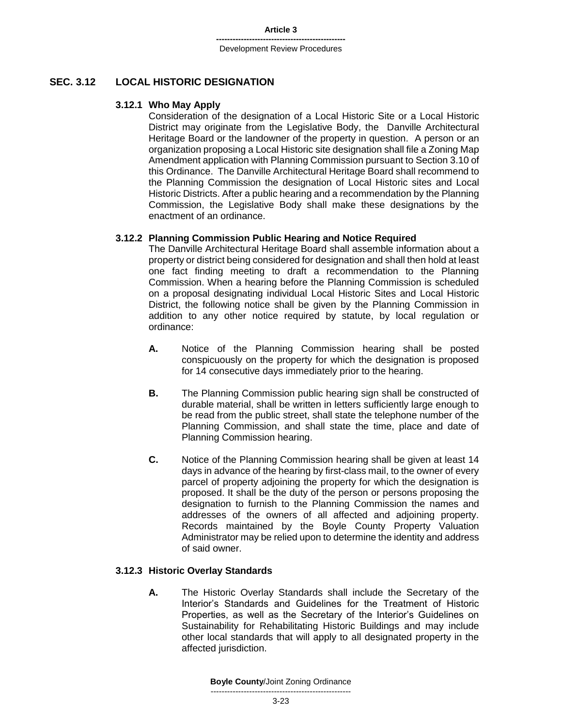# **SEC. 3.12 LOCAL HISTORIC DESIGNATION**

### **3.12.1 Who May Apply**

Consideration of the designation of a Local Historic Site or a Local Historic District may originate from the Legislative Body, the Danville Architectural Heritage Board or the landowner of the property in question. A person or an organization proposing a Local Historic site designation shall file a Zoning Map Amendment application with Planning Commission pursuant to Section 3.10 of this Ordinance. The Danville Architectural Heritage Board shall recommend to the Planning Commission the designation of Local Historic sites and Local Historic Districts. After a public hearing and a recommendation by the Planning Commission, the Legislative Body shall make these designations by the enactment of an ordinance.

### **3.12.2 Planning Commission Public Hearing and Notice Required**

The Danville Architectural Heritage Board shall assemble information about a property or district being considered for designation and shall then hold at least one fact finding meeting to draft a recommendation to the Planning Commission. When a hearing before the Planning Commission is scheduled on a proposal designating individual Local Historic Sites and Local Historic District, the following notice shall be given by the Planning Commission in addition to any other notice required by statute, by local regulation or ordinance:

- **A.** Notice of the Planning Commission hearing shall be posted conspicuously on the property for which the designation is proposed for 14 consecutive days immediately prior to the hearing.
- **B.** The Planning Commission public hearing sign shall be constructed of durable material, shall be written in letters sufficiently large enough to be read from the public street, shall state the telephone number of the Planning Commission, and shall state the time, place and date of Planning Commission hearing.
- **C.** Notice of the Planning Commission hearing shall be given at least 14 days in advance of the hearing by first-class mail, to the owner of every parcel of property adjoining the property for which the designation is proposed. It shall be the duty of the person or persons proposing the designation to furnish to the Planning Commission the names and addresses of the owners of all affected and adjoining property. Records maintained by the Boyle County Property Valuation Administrator may be relied upon to determine the identity and address of said owner.

# **3.12.3 Historic Overlay Standards**

**A.** The Historic Overlay Standards shall include the Secretary of the Interior's Standards and Guidelines for the Treatment of Historic Properties, as well as the Secretary of the Interior's Guidelines on Sustainability for Rehabilitating Historic Buildings and may include other local standards that will apply to all designated property in the affected jurisdiction.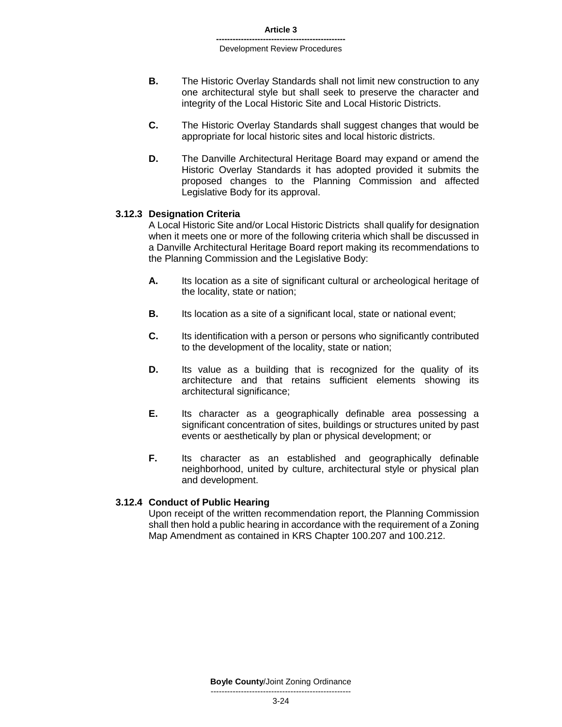- **B.** The Historic Overlay Standards shall not limit new construction to any one architectural style but shall seek to preserve the character and integrity of the Local Historic Site and Local Historic Districts.
- **C.** The Historic Overlay Standards shall suggest changes that would be appropriate for local historic sites and local historic districts.
- **D.** The Danville Architectural Heritage Board may expand or amend the Historic Overlay Standards it has adopted provided it submits the proposed changes to the Planning Commission and affected Legislative Body for its approval.

### **3.12.3 Designation Criteria**

A Local Historic Site and/or Local Historic Districts shall qualify for designation when it meets one or more of the following criteria which shall be discussed in a Danville Architectural Heritage Board report making its recommendations to the Planning Commission and the Legislative Body:

- **A.** Its location as a site of significant cultural or archeological heritage of the locality, state or nation;
- **B.** Its location as a site of a significant local, state or national event;
- **C.** Its identification with a person or persons who significantly contributed to the development of the locality, state or nation;
- **D.** Its value as a building that is recognized for the quality of its architecture and that retains sufficient elements showing its architectural significance;
- **E.** Its character as a geographically definable area possessing a significant concentration of sites, buildings or structures united by past events or aesthetically by plan or physical development; or
- **F.** Its character as an established and geographically definable neighborhood, united by culture, architectural style or physical plan and development.

### **3.12.4 Conduct of Public Hearing**

Upon receipt of the written recommendation report, the Planning Commission shall then hold a public hearing in accordance with the requirement of a Zoning Map Amendment as contained in KRS Chapter 100.207 and 100.212.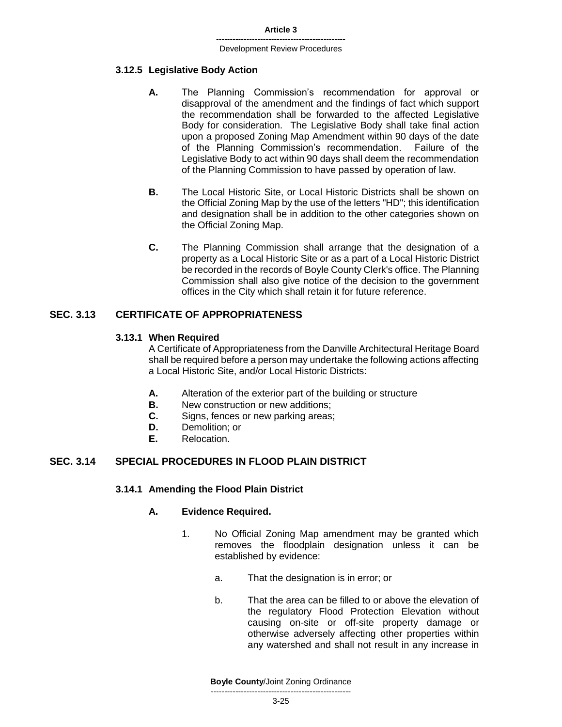### **3.12.5 Legislative Body Action**

- **A.** The Planning Commission's recommendation for approval or disapproval of the amendment and the findings of fact which support the recommendation shall be forwarded to the affected Legislative Body for consideration. The Legislative Body shall take final action upon a proposed Zoning Map Amendment within 90 days of the date of the Planning Commission's recommendation. Failure of the Legislative Body to act within 90 days shall deem the recommendation of the Planning Commission to have passed by operation of law.
- **B.** The Local Historic Site, or Local Historic Districts shall be shown on the Official Zoning Map by the use of the letters "HD"; this identification and designation shall be in addition to the other categories shown on the Official Zoning Map.
- **C.** The Planning Commission shall arrange that the designation of a property as a Local Historic Site or as a part of a Local Historic District be recorded in the records of Boyle County Clerk's office. The Planning Commission shall also give notice of the decision to the government offices in the City which shall retain it for future reference.

# **SEC. 3.13 CERTIFICATE OF APPROPRIATENESS**

### **3.13.1 When Required**

A Certificate of Appropriateness from the Danville Architectural Heritage Board shall be required before a person may undertake the following actions affecting a Local Historic Site, and/or Local Historic Districts:

- **A.** Alteration of the exterior part of the building or structure
- **B.** New construction or new additions:
- **C.** Signs, fences or new parking areas;
- **D.** Demolition; or
- **E.** Relocation.

# **SEC. 3.14 SPECIAL PROCEDURES IN FLOOD PLAIN DISTRICT**

### **3.14.1 Amending the Flood Plain District**

### **A. Evidence Required.**

- 1. No Official Zoning Map amendment may be granted which removes the floodplain designation unless it can be established by evidence:
	- a. That the designation is in error; or
	- b. That the area can be filled to or above the elevation of the regulatory Flood Protection Elevation without causing on-site or off-site property damage or otherwise adversely affecting other properties within any watershed and shall not result in any increase in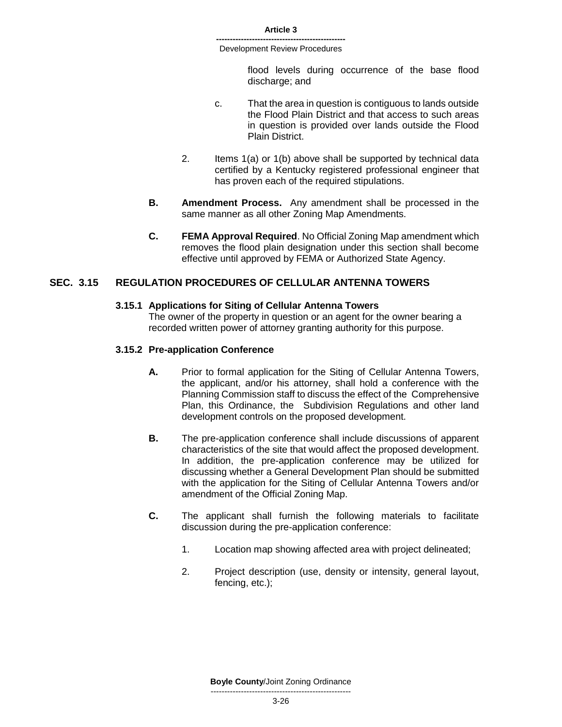> flood levels during occurrence of the base flood discharge; and

- c. That the area in question is contiguous to lands outside the Flood Plain District and that access to such areas in question is provided over lands outside the Flood Plain District.
- 2. Items 1(a) or 1(b) above shall be supported by technical data certified by a Kentucky registered professional engineer that has proven each of the required stipulations.
- **B. Amendment Process.** Any amendment shall be processed in the same manner as all other Zoning Map Amendments.
- **C. FEMA Approval Required**. No Official Zoning Map amendment which removes the flood plain designation under this section shall become effective until approved by FEMA or Authorized State Agency.

# **SEC. 3.15 REGULATION PROCEDURES OF CELLULAR ANTENNA TOWERS**

### **3.15.1 Applications for Siting of Cellular Antenna Towers**

The owner of the property in question or an agent for the owner bearing a recorded written power of attorney granting authority for this purpose.

### **3.15.2 Pre-application Conference**

- **A.** Prior to formal application for the Siting of Cellular Antenna Towers, the applicant, and/or his attorney, shall hold a conference with the Planning Commission staff to discuss the effect of the Comprehensive Plan, this Ordinance, the Subdivision Regulations and other land development controls on the proposed development.
- **B.** The pre-application conference shall include discussions of apparent characteristics of the site that would affect the proposed development. In addition, the pre-application conference may be utilized for discussing whether a General Development Plan should be submitted with the application for the Siting of Cellular Antenna Towers and/or amendment of the Official Zoning Map.
- **C.** The applicant shall furnish the following materials to facilitate discussion during the pre-application conference:
	- 1. Location map showing affected area with project delineated;
	- 2. Project description (use, density or intensity, general layout, fencing, etc.);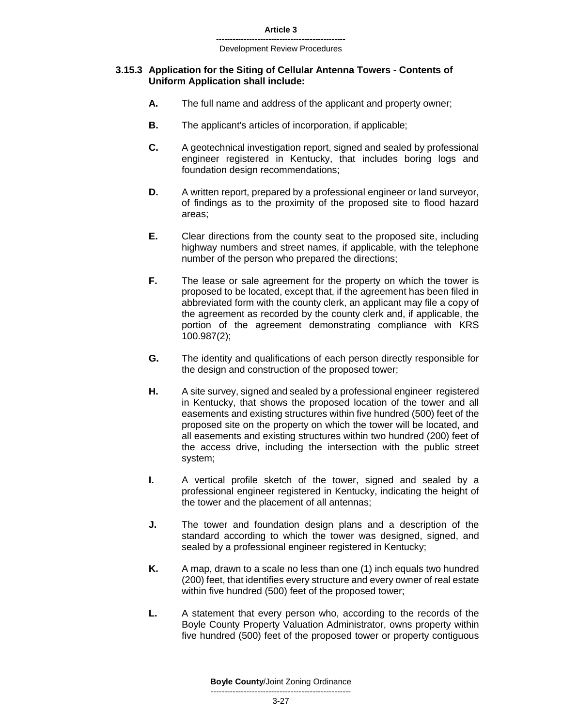### **3.15.3 Application for the Siting of Cellular Antenna Towers - Contents of Uniform Application shall include:**

- **A.** The full name and address of the applicant and property owner;
- **B.** The applicant's articles of incorporation, if applicable;
- **C.** A geotechnical investigation report, signed and sealed by professional engineer registered in Kentucky, that includes boring logs and foundation design recommendations;
- **D.** A written report, prepared by a professional engineer or land surveyor, of findings as to the proximity of the proposed site to flood hazard areas;
- **E.** Clear directions from the county seat to the proposed site, including highway numbers and street names, if applicable, with the telephone number of the person who prepared the directions;
- **F.** The lease or sale agreement for the property on which the tower is proposed to be located, except that, if the agreement has been filed in abbreviated form with the county clerk, an applicant may file a copy of the agreement as recorded by the county clerk and, if applicable, the portion of the agreement demonstrating compliance with KRS 100.987(2);
- **G.** The identity and qualifications of each person directly responsible for the design and construction of the proposed tower;
- **H.** A site survey, signed and sealed by a professional engineer registered in Kentucky, that shows the proposed location of the tower and all easements and existing structures within five hundred (500) feet of the proposed site on the property on which the tower will be located, and all easements and existing structures within two hundred (200) feet of the access drive, including the intersection with the public street system;
- **I.** A vertical profile sketch of the tower, signed and sealed by a professional engineer registered in Kentucky, indicating the height of the tower and the placement of all antennas;
- **J.** The tower and foundation design plans and a description of the standard according to which the tower was designed, signed, and sealed by a professional engineer registered in Kentucky;
- **K.** A map, drawn to a scale no less than one (1) inch equals two hundred (200) feet, that identifies every structure and every owner of real estate within five hundred (500) feet of the proposed tower;
- **L.** A statement that every person who, according to the records of the Boyle County Property Valuation Administrator, owns property within five hundred (500) feet of the proposed tower or property contiguous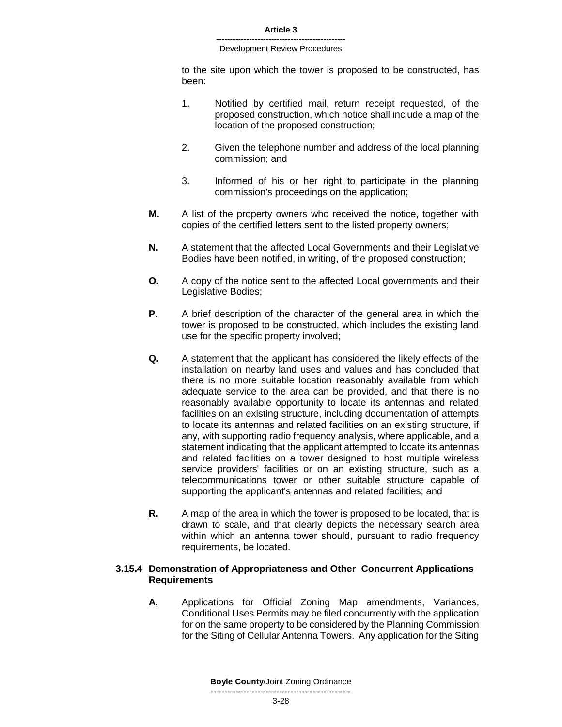to the site upon which the tower is proposed to be constructed, has been:

- 1. Notified by certified mail, return receipt requested, of the proposed construction, which notice shall include a map of the location of the proposed construction;
- 2. Given the telephone number and address of the local planning commission; and
- 3. Informed of his or her right to participate in the planning commission's proceedings on the application;
- **M.** A list of the property owners who received the notice, together with copies of the certified letters sent to the listed property owners;
- **N.** A statement that the affected Local Governments and their Legislative Bodies have been notified, in writing, of the proposed construction;
- **O.** A copy of the notice sent to the affected Local governments and their Legislative Bodies;
- **P.** A brief description of the character of the general area in which the tower is proposed to be constructed, which includes the existing land use for the specific property involved;
- **Q.** A statement that the applicant has considered the likely effects of the installation on nearby land uses and values and has concluded that there is no more suitable location reasonably available from which adequate service to the area can be provided, and that there is no reasonably available opportunity to locate its antennas and related facilities on an existing structure, including documentation of attempts to locate its antennas and related facilities on an existing structure, if any, with supporting radio frequency analysis, where applicable, and a statement indicating that the applicant attempted to locate its antennas and related facilities on a tower designed to host multiple wireless service providers' facilities or on an existing structure, such as a telecommunications tower or other suitable structure capable of supporting the applicant's antennas and related facilities; and
- **R.** A map of the area in which the tower is proposed to be located, that is drawn to scale, and that clearly depicts the necessary search area within which an antenna tower should, pursuant to radio frequency requirements, be located.

### **3.15.4 Demonstration of Appropriateness and Other Concurrent Applications Requirements**

**A.** Applications for Official Zoning Map amendments, Variances, Conditional Uses Permits may be filed concurrently with the application for on the same property to be considered by the Planning Commission for the Siting of Cellular Antenna Towers. Any application for the Siting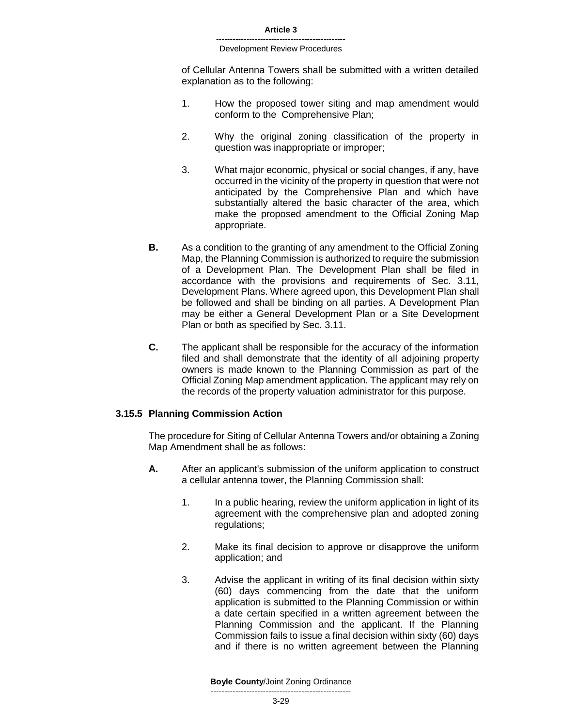of Cellular Antenna Towers shall be submitted with a written detailed explanation as to the following:

- 1. How the proposed tower siting and map amendment would conform to the Comprehensive Plan;
- 2. Why the original zoning classification of the property in question was inappropriate or improper;
- 3. What major economic, physical or social changes, if any, have occurred in the vicinity of the property in question that were not anticipated by the Comprehensive Plan and which have substantially altered the basic character of the area, which make the proposed amendment to the Official Zoning Map appropriate.
- **B.** As a condition to the granting of any amendment to the Official Zoning Map, the Planning Commission is authorized to require the submission of a Development Plan. The Development Plan shall be filed in accordance with the provisions and requirements of Sec. 3.11, Development Plans. Where agreed upon, this Development Plan shall be followed and shall be binding on all parties. A Development Plan may be either a General Development Plan or a Site Development Plan or both as specified by Sec. 3.11.
- **C.** The applicant shall be responsible for the accuracy of the information filed and shall demonstrate that the identity of all adjoining property owners is made known to the Planning Commission as part of the Official Zoning Map amendment application. The applicant may rely on the records of the property valuation administrator for this purpose.

### **3.15.5 Planning Commission Action**

The procedure for Siting of Cellular Antenna Towers and/or obtaining a Zoning Map Amendment shall be as follows:

- **A.** After an applicant's submission of the uniform application to construct a cellular antenna tower, the Planning Commission shall:
	- 1. In a public hearing, review the uniform application in light of its agreement with the comprehensive plan and adopted zoning regulations;
	- 2. Make its final decision to approve or disapprove the uniform application; and
	- 3. Advise the applicant in writing of its final decision within sixty (60) days commencing from the date that the uniform application is submitted to the Planning Commission or within a date certain specified in a written agreement between the Planning Commission and the applicant. If the Planning Commission fails to issue a final decision within sixty (60) days and if there is no written agreement between the Planning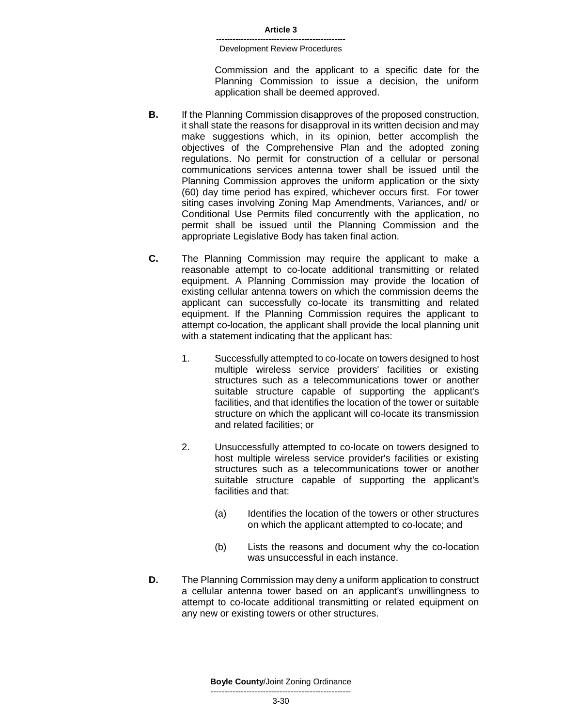Commission and the applicant to a specific date for the Planning Commission to issue a decision, the uniform application shall be deemed approved.

- **B.** If the Planning Commission disapproves of the proposed construction, it shall state the reasons for disapproval in its written decision and may make suggestions which, in its opinion, better accomplish the objectives of the Comprehensive Plan and the adopted zoning regulations. No permit for construction of a cellular or personal communications services antenna tower shall be issued until the Planning Commission approves the uniform application or the sixty (60) day time period has expired, whichever occurs first. For tower siting cases involving Zoning Map Amendments, Variances, and/ or Conditional Use Permits filed concurrently with the application, no permit shall be issued until the Planning Commission and the appropriate Legislative Body has taken final action.
- **C.** The Planning Commission may require the applicant to make a reasonable attempt to co-locate additional transmitting or related equipment. A Planning Commission may provide the location of existing cellular antenna towers on which the commission deems the applicant can successfully co-locate its transmitting and related equipment. If the Planning Commission requires the applicant to attempt co-location, the applicant shall provide the local planning unit with a statement indicating that the applicant has:
	- 1. Successfully attempted to co-locate on towers designed to host multiple wireless service providers' facilities or existing structures such as a telecommunications tower or another suitable structure capable of supporting the applicant's facilities, and that identifies the location of the tower or suitable structure on which the applicant will co-locate its transmission and related facilities; or
	- 2. Unsuccessfully attempted to co-locate on towers designed to host multiple wireless service provider's facilities or existing structures such as a telecommunications tower or another suitable structure capable of supporting the applicant's facilities and that:
		- (a) Identifies the location of the towers or other structures on which the applicant attempted to co-locate; and
		- (b) Lists the reasons and document why the co-location was unsuccessful in each instance.
- **D.** The Planning Commission may deny a uniform application to construct a cellular antenna tower based on an applicant's unwillingness to attempt to co-locate additional transmitting or related equipment on any new or existing towers or other structures.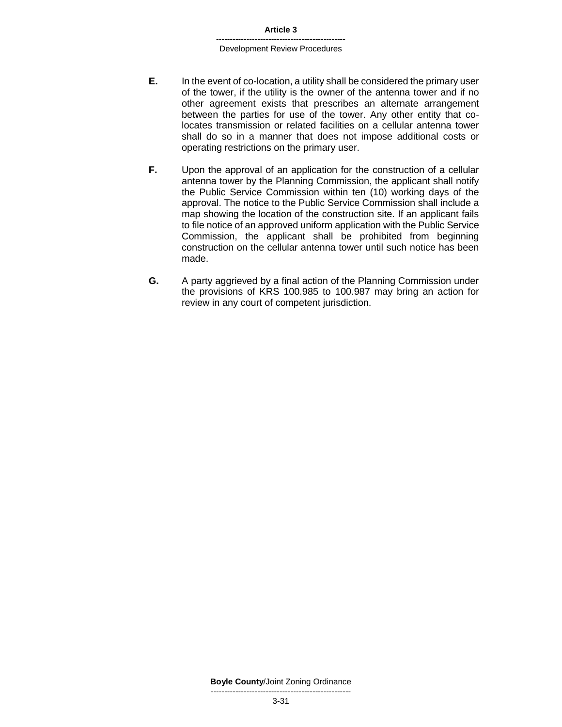- **E.** In the event of co-location, a utility shall be considered the primary user of the tower, if the utility is the owner of the antenna tower and if no other agreement exists that prescribes an alternate arrangement between the parties for use of the tower. Any other entity that colocates transmission or related facilities on a cellular antenna tower shall do so in a manner that does not impose additional costs or operating restrictions on the primary user.
- **F.** Upon the approval of an application for the construction of a cellular antenna tower by the Planning Commission, the applicant shall notify the Public Service Commission within ten (10) working days of the approval. The notice to the Public Service Commission shall include a map showing the location of the construction site. If an applicant fails to file notice of an approved uniform application with the Public Service Commission, the applicant shall be prohibited from beginning construction on the cellular antenna tower until such notice has been made.
- **G.** A party aggrieved by a final action of the Planning Commission under the provisions of KRS 100.985 to 100.987 may bring an action for review in any court of competent jurisdiction.